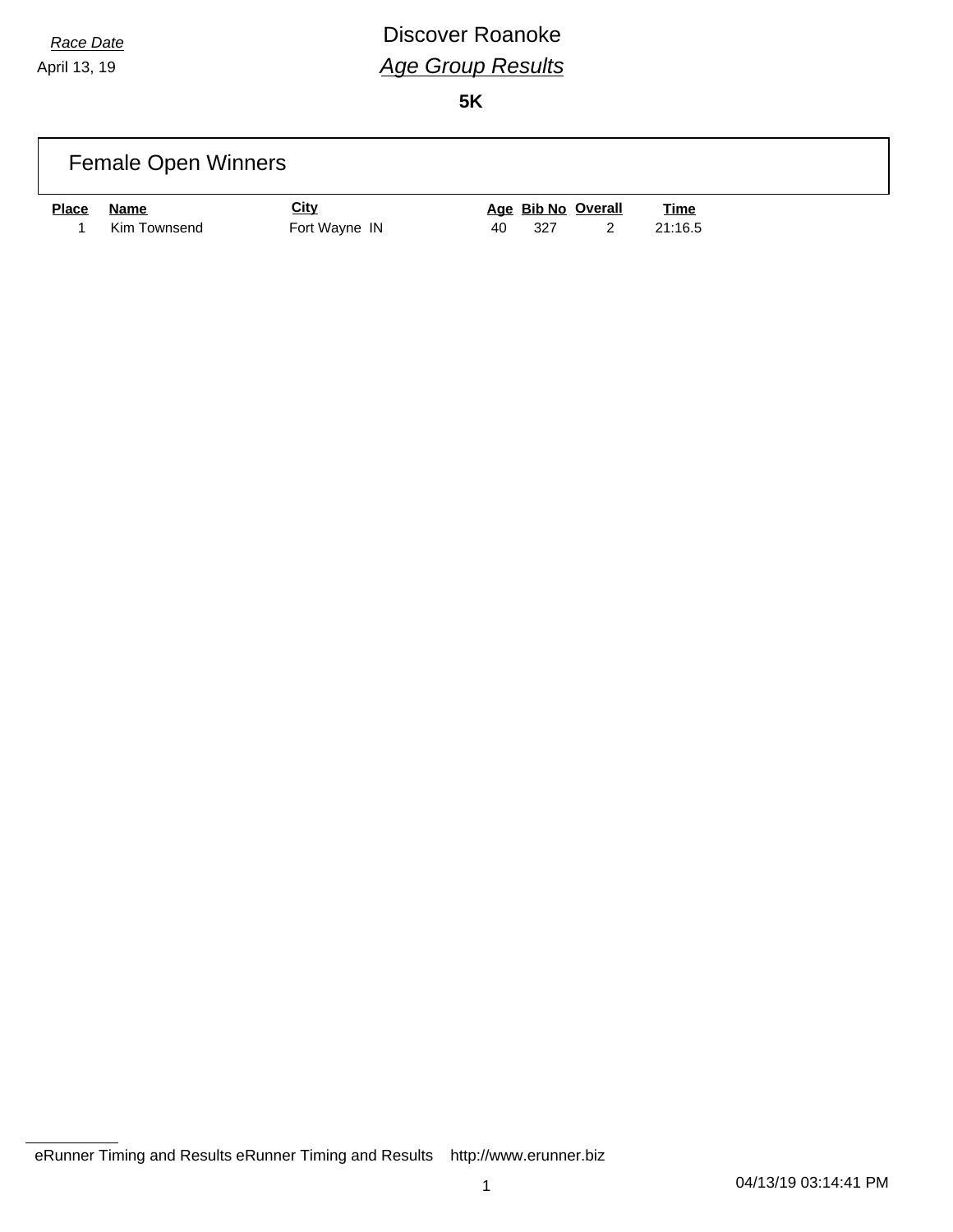# *Race Date* **Discover Roanoke** *Age Group Results*

|              | <b>Female Open Winners</b> |               |                                   |
|--------------|----------------------------|---------------|-----------------------------------|
| <b>Place</b> | Name                       | <u>City</u>   | Age Bib No Overall<br><b>Time</b> |
|              | Kim Townsend               | Fort Wayne IN | 21:16.5<br>327<br>40              |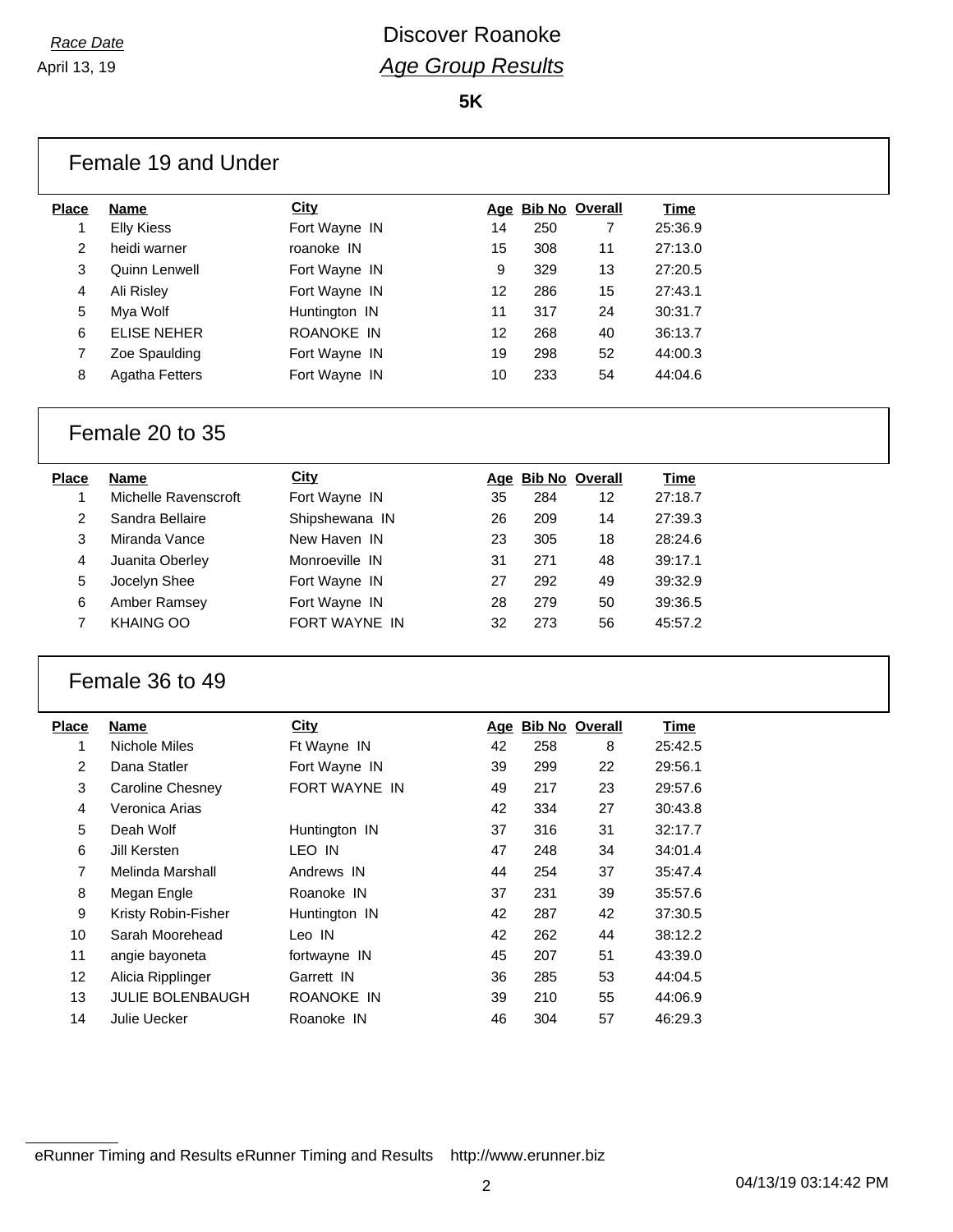**5K**

| <b>Place</b>   | Name                  | <b>City</b>   |    | Age Bib No Overall |    | Time        |
|----------------|-----------------------|---------------|----|--------------------|----|-------------|
| 1              | <b>Elly Kiess</b>     | Fort Wayne IN | 14 | 250                | 7  | 25:36.9     |
| $\overline{2}$ | heidi warner          | roanoke IN    | 15 | 308                | 11 | 27:13.0     |
| 3              | Quinn Lenwell         | Fort Wayne IN | 9  | 329                | 13 | 27:20.5     |
| 4              | Ali Risley            | Fort Wayne IN | 12 | 286                | 15 | 27:43.1     |
| 5              | Mya Wolf              | Huntington IN | 11 | 317                | 24 | 30:31.7     |
| 6              | ELISE NEHER           | ROANOKE IN    | 12 | 268                | 40 | 36:13.7     |
| 7              | Zoe Spaulding         | Fort Wayne IN | 19 | 298                | 52 | 44:00.3     |
| 8              | <b>Agatha Fetters</b> | Fort Wayne IN | 10 | 233                | 54 | 44:04.6     |
|                | Female 20 to 35       |               |    |                    |    |             |
| <b>Place</b>   | <b>Name</b>           | <b>City</b>   |    | Age Bib No Overall |    | <b>Time</b> |

| тасе | name                 | <b>URY</b>     |    | Age BID NO OVERIL |    | <b>Time</b> |
|------|----------------------|----------------|----|-------------------|----|-------------|
|      | Michelle Ravenscroft | Fort Wayne IN  | 35 | 284               | 12 | 27:18.7     |
| 2    | Sandra Bellaire      | Shipshewana IN | 26 | 209               | 14 | 27:39.3     |
| 3    | Miranda Vance        | New Haven IN   | 23 | 305               | 18 | 28:24.6     |
| 4    | Juanita Oberley      | Monroeville IN | 31 | 271               | 48 | 39:17.1     |
| 5    | Jocelyn Shee         | Fort Wayne IN  | 27 | 292               | 49 | 39:32.9     |
| 6    | Amber Ramsey         | Fort Wayne IN  | 28 | 279               | 50 | 39:36.5     |
|      | <b>KHAING OO</b>     | FORT WAYNE IN  | 32 | 273               | 56 | 45:57.2     |
|      |                      |                |    |                   |    |             |

#### Female 36 to 49

| Place          | Name                    | <b>City</b>   | Age | <b>Bib No Overall</b> |    | Time    |
|----------------|-------------------------|---------------|-----|-----------------------|----|---------|
| 1              | Nichole Miles           | Ft Wayne IN   | 42  | 258                   | 8  | 25:42.5 |
| $\overline{2}$ | Dana Statler            | Fort Wayne IN | 39  | 299                   | 22 | 29:56.1 |
| 3              | Caroline Chesney        | FORT WAYNE IN | 49  | 217                   | 23 | 29:57.6 |
| 4              | Veronica Arias          |               | 42  | 334                   | 27 | 30:43.8 |
| 5              | Deah Wolf               | Huntington IN | 37  | 316                   | 31 | 32:17.7 |
| 6              | Jill Kersten            | LEO IN        | 47  | 248                   | 34 | 34:01.4 |
| 7              | Melinda Marshall        | Andrews IN    | 44  | 254                   | 37 | 35:47.4 |
| 8              | Megan Engle             | Roanoke IN    | 37  | 231                   | 39 | 35:57.6 |
| 9              | Kristy Robin-Fisher     | Huntington IN | 42  | 287                   | 42 | 37:30.5 |
| 10             | Sarah Moorehead         | Leo IN        | 42  | 262                   | 44 | 38:12.2 |
| 11             | angie bayoneta          | fortwayne IN  | 45  | 207                   | 51 | 43:39.0 |
| 12             | Alicia Ripplinger       | Garrett IN    | 36  | 285                   | 53 | 44:04.5 |
| 13             | <b>JULIE BOLENBAUGH</b> | ROANOKE IN    | 39  | 210                   | 55 | 44:06.9 |
| 14             | Julie Uecker            | Roanoke IN    | 46  | 304                   | 57 | 46:29.3 |
|                |                         |               |     |                       |    |         |

eRunner Timing and Results eRunner Timing and Results http://www.erunner.biz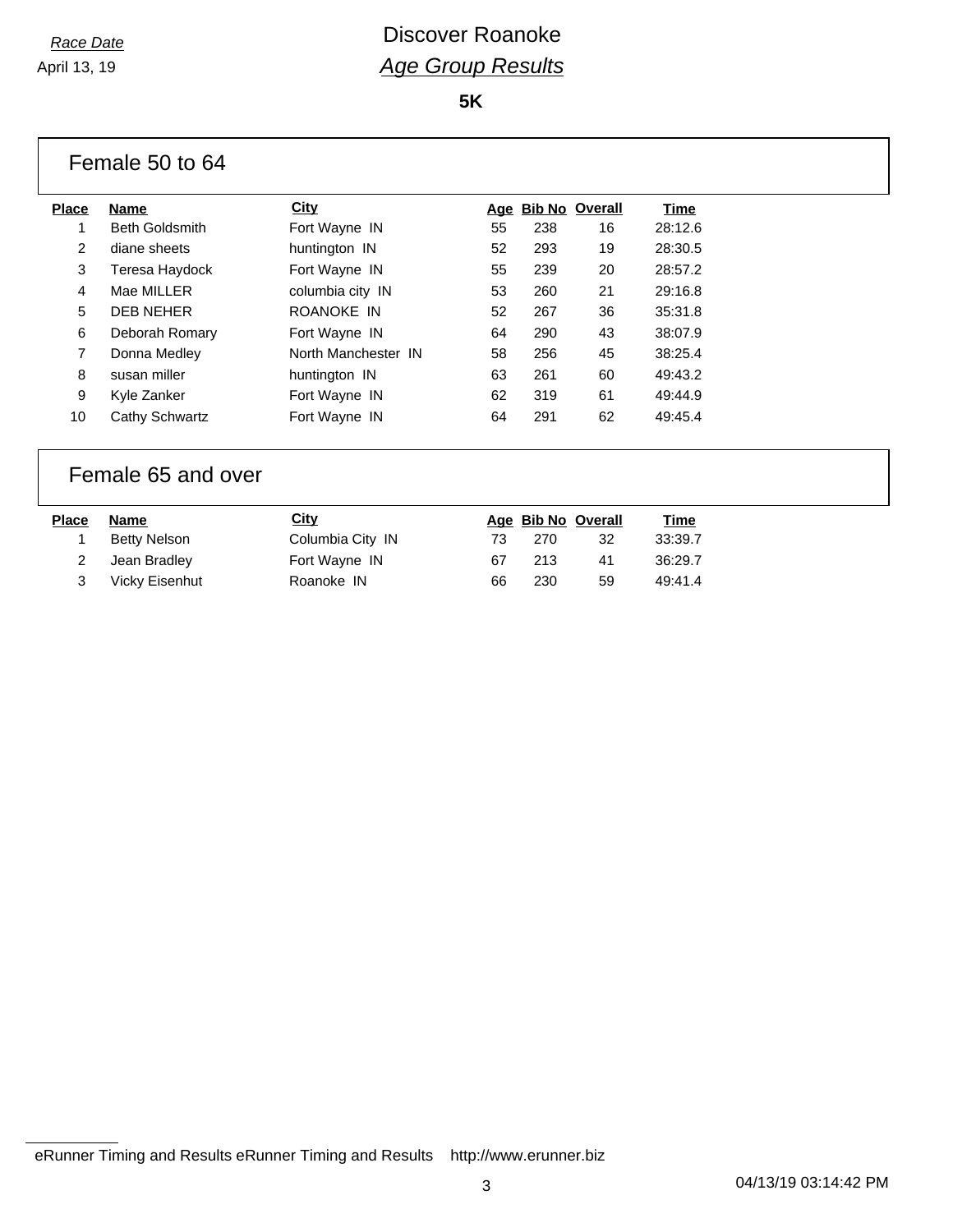**5K**

|                | Female 50 to 64       |                     |    |                    |    |         |  |
|----------------|-----------------------|---------------------|----|--------------------|----|---------|--|
| <b>Place</b>   | <b>Name</b>           | City                |    | Age Bib No Overall |    | Time    |  |
|                | <b>Beth Goldsmith</b> | Fort Wayne IN       | 55 | 238                | 16 | 28:12.6 |  |
| $\overline{2}$ | diane sheets          | huntington IN       | 52 | 293                | 19 | 28:30.5 |  |
| 3              | Teresa Haydock        | Fort Wayne IN       | 55 | 239                | 20 | 28:57.2 |  |
| $\overline{4}$ | Mae MILLER            | columbia city IN    | 53 | 260                | 21 | 29:16.8 |  |
| 5              | <b>DEB NEHER</b>      | ROANOKE IN          | 52 | 267                | 36 | 35:31.8 |  |
| 6              | Deborah Romary        | Fort Wayne IN       | 64 | 290                | 43 | 38:07.9 |  |
| $\overline{7}$ | Donna Medley          | North Manchester IN | 58 | 256                | 45 | 38:25.4 |  |
| 8              | susan miller          | huntington IN       | 63 | 261                | 60 | 49:43.2 |  |
| 9              | Kyle Zanker           | Fort Wayne IN       | 62 | 319                | 61 | 49:44.9 |  |
| 10             | Cathy Schwartz        | Fort Wayne IN       | 64 | 291                | 62 | 49:45.4 |  |
|                |                       |                     |    |                    |    |         |  |

### Female 65 and over

| <b>Place</b> | Name           | <u>City</u>      |    | Age Bib No Overall |    | <u>Time</u> |
|--------------|----------------|------------------|----|--------------------|----|-------------|
|              | Betty Nelson   | Columbia City IN | 73 | 270                | 32 | 33:39.7     |
|              | Jean Bradlev   | Fort Wayne IN    | 67 | 213                | 41 | 36:29.7     |
|              | Vicky Eisenhut | Roanoke IN       | 66 | 230                | 59 | 49:41.4     |

eRunner Timing and Results eRunner Timing and Results http://www.erunner.biz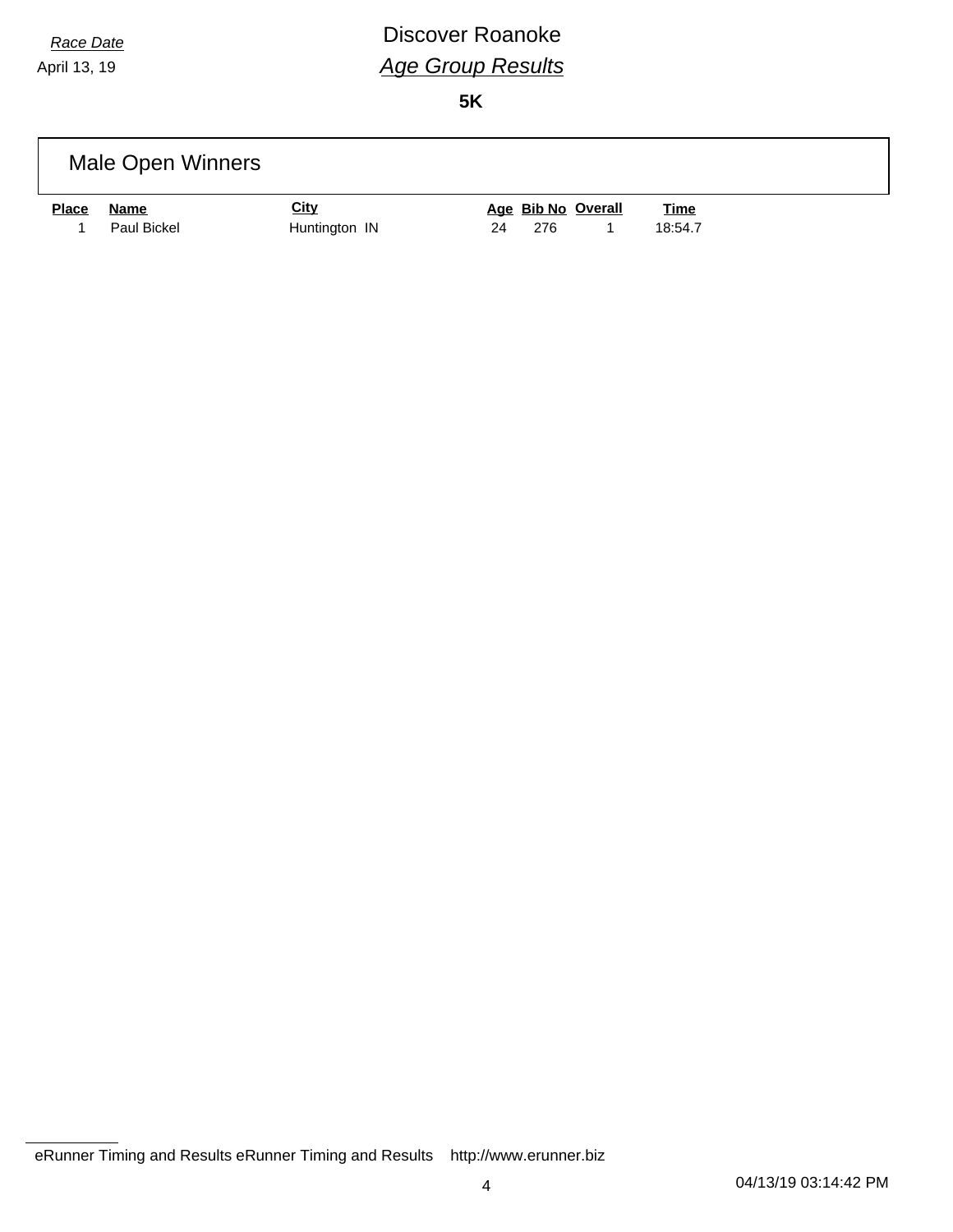# *Race Date* **Discover Roanoke** *Age Group Results*

|              | Male Open Winners |               |                    |             |  |
|--------------|-------------------|---------------|--------------------|-------------|--|
| <b>Place</b> | Name              | <u>City</u>   | Age Bib No Overall | <b>Time</b> |  |
|              | Paul Bickel       | Huntington IN | 24<br>276          | 18:54.7     |  |

eRunner Timing and Results eRunner Timing and Results http://www.erunner.biz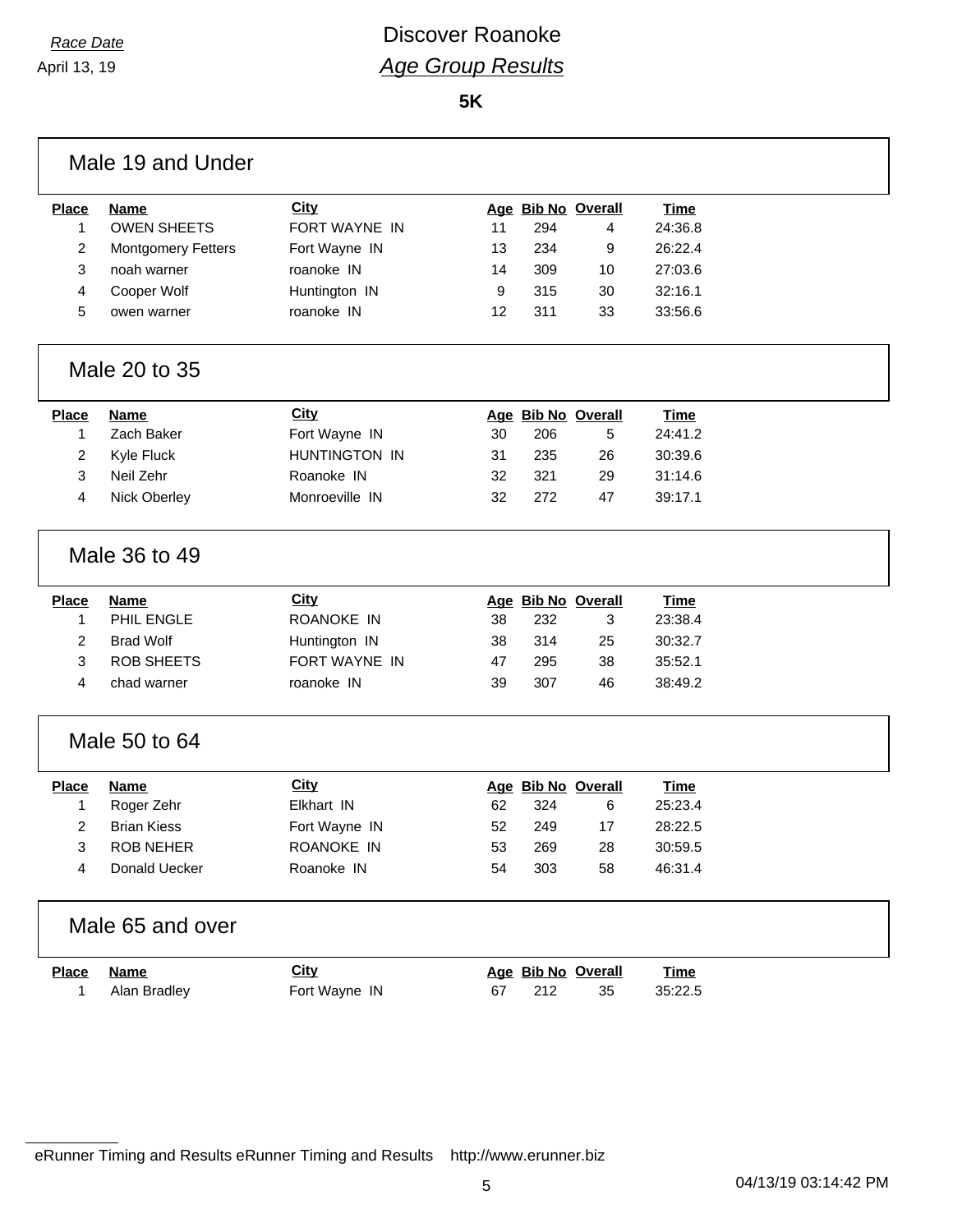Г

### *Race Date* **Discover Roanoke** *Age Group Results*

**5K**

| <b>Place</b>   | Name                      | <b>City</b>    |    |     | Age Bib No Overall | Time        |  |
|----------------|---------------------------|----------------|----|-----|--------------------|-------------|--|
| $\mathbf{1}$   | <b>OWEN SHEETS</b>        | FORT WAYNE IN  | 11 | 294 | 4                  | 24:36.8     |  |
| 2              | <b>Montgomery Fetters</b> | Fort Wayne IN  | 13 | 234 | 9                  | 26:22.4     |  |
| 3              | noah warner               | roanoke IN     | 14 | 309 | 10                 | 27:03.6     |  |
| 4              | Cooper Wolf               | Huntington IN  | 9  | 315 | 30                 | 32:16.1     |  |
| 5              | owen warner               | roanoke IN     | 12 | 311 | 33                 | 33:56.6     |  |
|                | Male 20 to 35             |                |    |     |                    |             |  |
| <b>Place</b>   | Name                      | <b>City</b>    |    |     | Age Bib No Overall | <b>Time</b> |  |
| 1              | Zach Baker                | Fort Wayne IN  | 30 | 206 | 5                  | 24:41.2     |  |
| 2              | Kyle Fluck                | HUNTINGTON IN  | 31 | 235 | 26                 | 30:39.6     |  |
| 3              | Neil Zehr                 | Roanoke IN     | 32 | 321 | 29                 | 31:14.6     |  |
| 4              | Nick Oberley              | Monroeville IN | 32 | 272 | 47                 | 39:17.1     |  |
|                | Male 36 to 49             |                |    |     |                    |             |  |
| <b>Place</b>   | Name                      | <b>City</b>    |    |     | Age Bib No Overall | <b>Time</b> |  |
| 1              | PHIL ENGLE                | ROANOKE IN     | 38 | 232 | 3                  | 23:38.4     |  |
|                |                           |                |    |     |                    |             |  |
| $\overline{2}$ | <b>Brad Wolf</b>          | Huntington IN  | 38 | 314 | 25                 | 30:32.7     |  |
| 3              | <b>ROB SHEETS</b>         | FORT WAYNE IN  | 47 | 295 | 38                 | 35:52.1     |  |
| 4              | chad warner               | roanoke IN     | 39 | 307 | 46                 | 38:49.2     |  |
|                | Male 50 to 64             |                |    |     |                    |             |  |
| <b>Place</b>   | <b>Name</b>               | <b>City</b>    |    |     | Age Bib No Overall | <b>Time</b> |  |
| 1              | Roger Zehr                | Elkhart IN     | 62 | 324 | 6                  | 25:23.4     |  |
| 2              | <b>Brian Kiess</b>        | Fort Wayne IN  | 52 | 249 | 17                 | 28:22.5     |  |
| 3              | <b>ROB NEHER</b>          | ROANOKE IN     | 53 | 269 | 28                 | 30:59.5     |  |
| 4              | Donald Uecker             | Roanoke IN     | 54 | 303 | 58                 | 46:31.4     |  |
|                | Male 65 and over          |                |    |     |                    |             |  |
| <b>Place</b>   | <b>Name</b>               | <b>City</b>    |    |     | Age Bib No Overall | <b>Time</b> |  |

eRunner Timing and Results eRunner Timing and Results http://www.erunner.biz

٦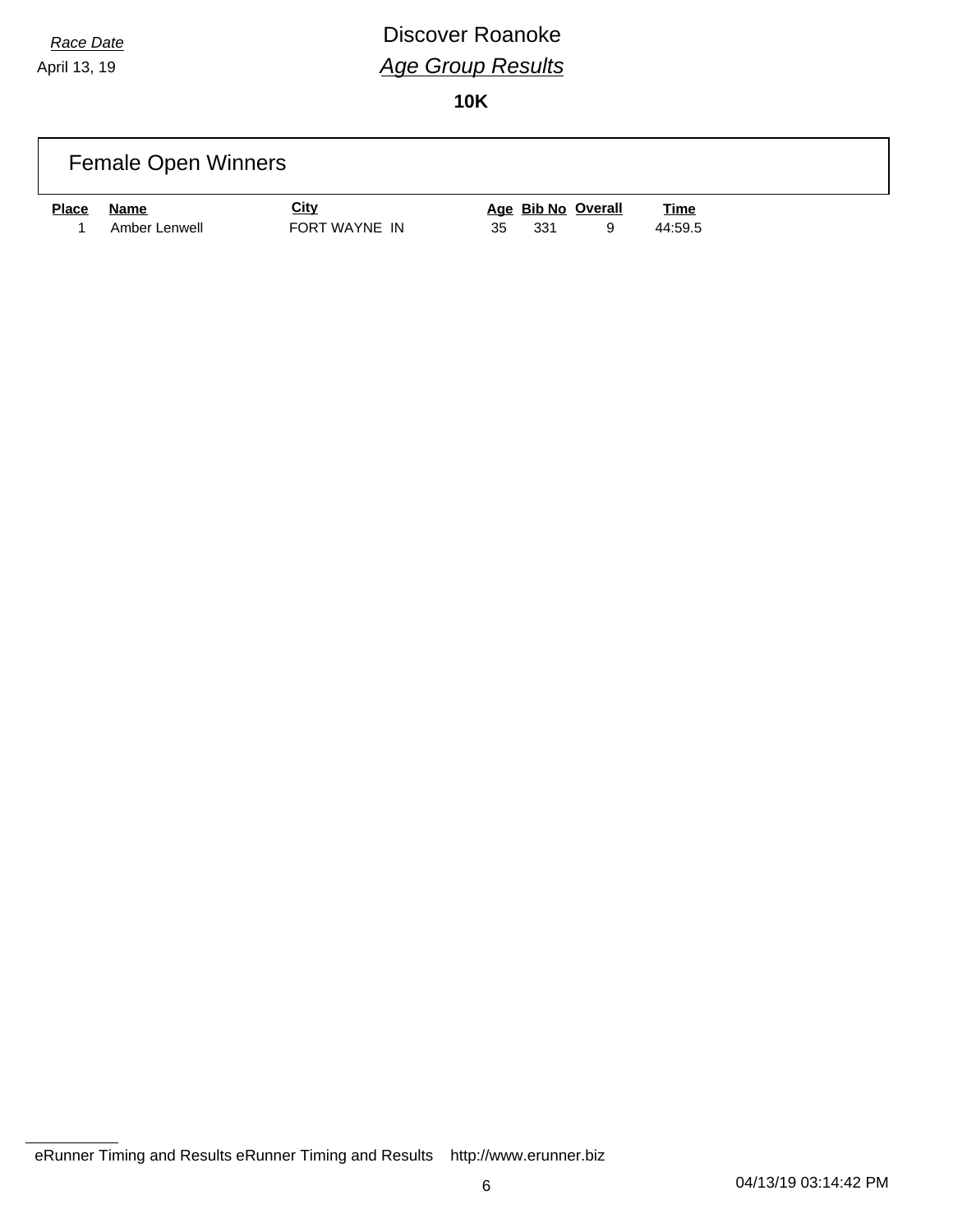# *Race Date* **Discover Roanoke** *Age Group Results*

|              | <b>Female Open Winners</b> |               |                    |             |  |
|--------------|----------------------------|---------------|--------------------|-------------|--|
| <b>Place</b> | Name                       | <b>City</b>   | Age Bib No Overall | <b>Time</b> |  |
|              | Amber Lenwell              | FORT WAYNE IN | 331<br>35<br>a     | 44:59.5     |  |

eRunner Timing and Results eRunner Timing and Results http://www.erunner.biz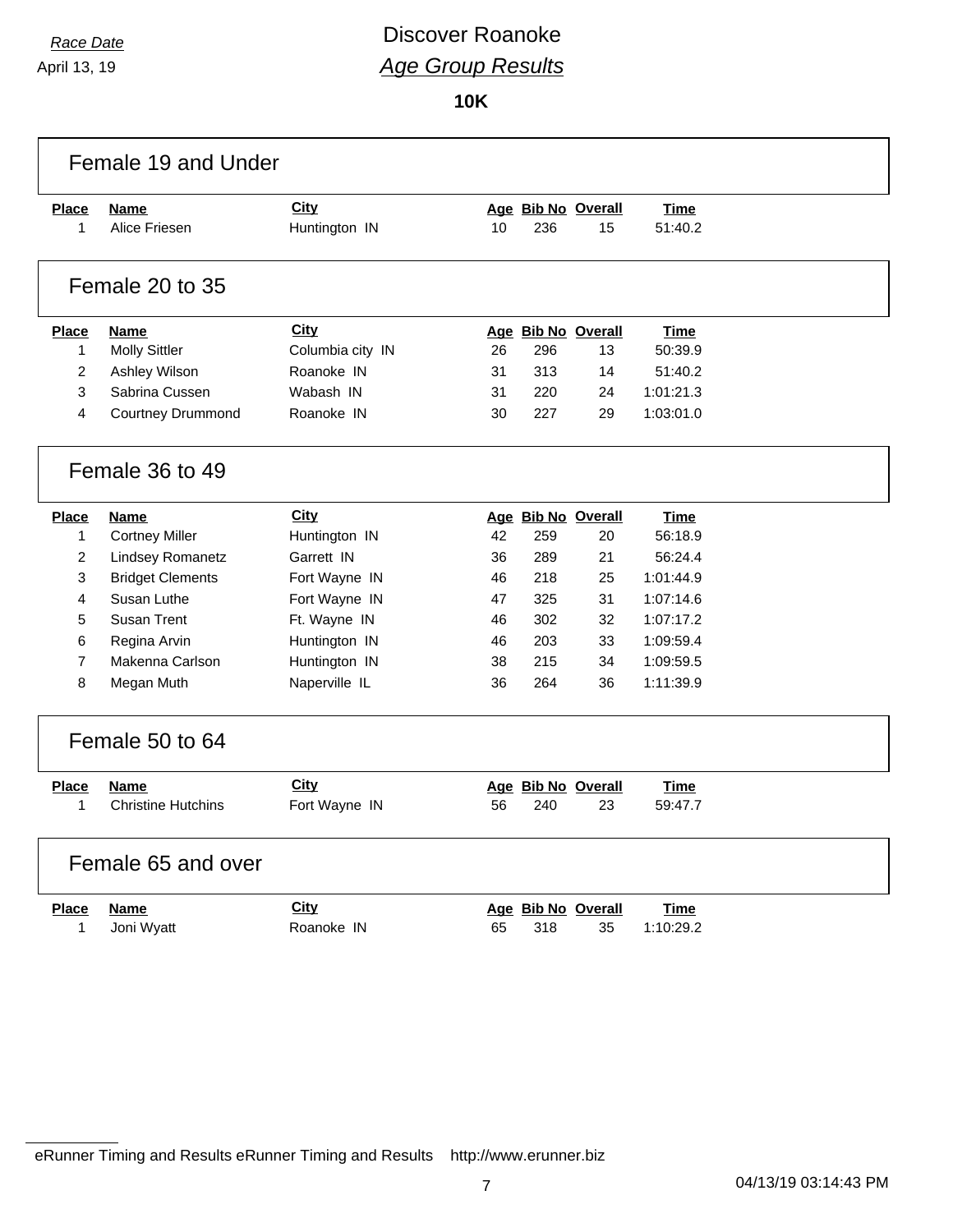## *Race Date* **Discover Roanoke** *Age Group Results*

|                | Female 19 and Under       |                  |    |     |                    |             |  |
|----------------|---------------------------|------------------|----|-----|--------------------|-------------|--|
| <b>Place</b>   | <b>Name</b>               | City             |    |     | Age Bib No Overall | <b>Time</b> |  |
| $\mathbf{1}$   | Alice Friesen             | Huntington IN    | 10 | 236 | 15                 | 51:40.2     |  |
|                | Female 20 to 35           |                  |    |     |                    |             |  |
|                |                           |                  |    |     |                    |             |  |
| <b>Place</b>   | <b>Name</b>               | City             |    |     | Age Bib No Overall | <b>Time</b> |  |
| $\mathbf{1}$   | <b>Molly Sittler</b>      | Columbia city IN | 26 | 296 | 13                 | 50:39.9     |  |
| $\overline{2}$ | Ashley Wilson             | Roanoke IN       | 31 | 313 | 14                 | 51:40.2     |  |
| 3              | Sabrina Cussen            | Wabash IN        | 31 | 220 | 24                 | 1:01:21.3   |  |
| 4              | Courtney Drummond         | Roanoke IN       | 30 | 227 | 29                 | 1:03:01.0   |  |
|                | Female 36 to 49           |                  |    |     |                    |             |  |
| <b>Place</b>   | <b>Name</b>               | City             |    |     | Age Bib No Overall | <b>Time</b> |  |
| $\mathbf{1}$   | <b>Cortney Miller</b>     | Huntington IN    | 42 | 259 | 20                 | 56:18.9     |  |
| $\overline{c}$ | Lindsey Romanetz          | Garrett IN       | 36 | 289 | 21                 | 56:24.4     |  |
| 3              | <b>Bridget Clements</b>   | Fort Wayne IN    | 46 | 218 | 25                 | 1:01:44.9   |  |
| 4              | Susan Luthe               | Fort Wayne IN    | 47 | 325 | 31                 | 1:07:14.6   |  |
| 5              | Susan Trent               | Ft. Wayne IN     | 46 | 302 | 32                 | 1:07:17.2   |  |
| 6              | Regina Arvin              | Huntington IN    | 46 | 203 | 33                 | 1:09:59.4   |  |
| $\overline{7}$ | Makenna Carlson           | Huntington IN    | 38 | 215 | 34                 | 1:09:59.5   |  |
| 8              | Megan Muth                | Naperville IL    | 36 | 264 | 36                 | 1:11:39.9   |  |
|                | Female 50 to 64           |                  |    |     |                    |             |  |
| <b>Place</b>   | <b>Name</b>               | City             |    |     | Age Bib No Overall | <b>Time</b> |  |
| 1              | <b>Christine Hutchins</b> | Fort Wayne IN    | 56 | 240 | 23                 | 59:47.7     |  |
|                | Female 65 and over        |                  |    |     |                    |             |  |
| <b>Place</b>   | Name                      | City             |    |     | Age Bib No Overall | <b>Time</b> |  |
| 1              | Joni Wyatt                | Roanoke IN       | 65 | 318 | 35                 | 1:10:29.2   |  |
|                |                           |                  |    |     |                    |             |  |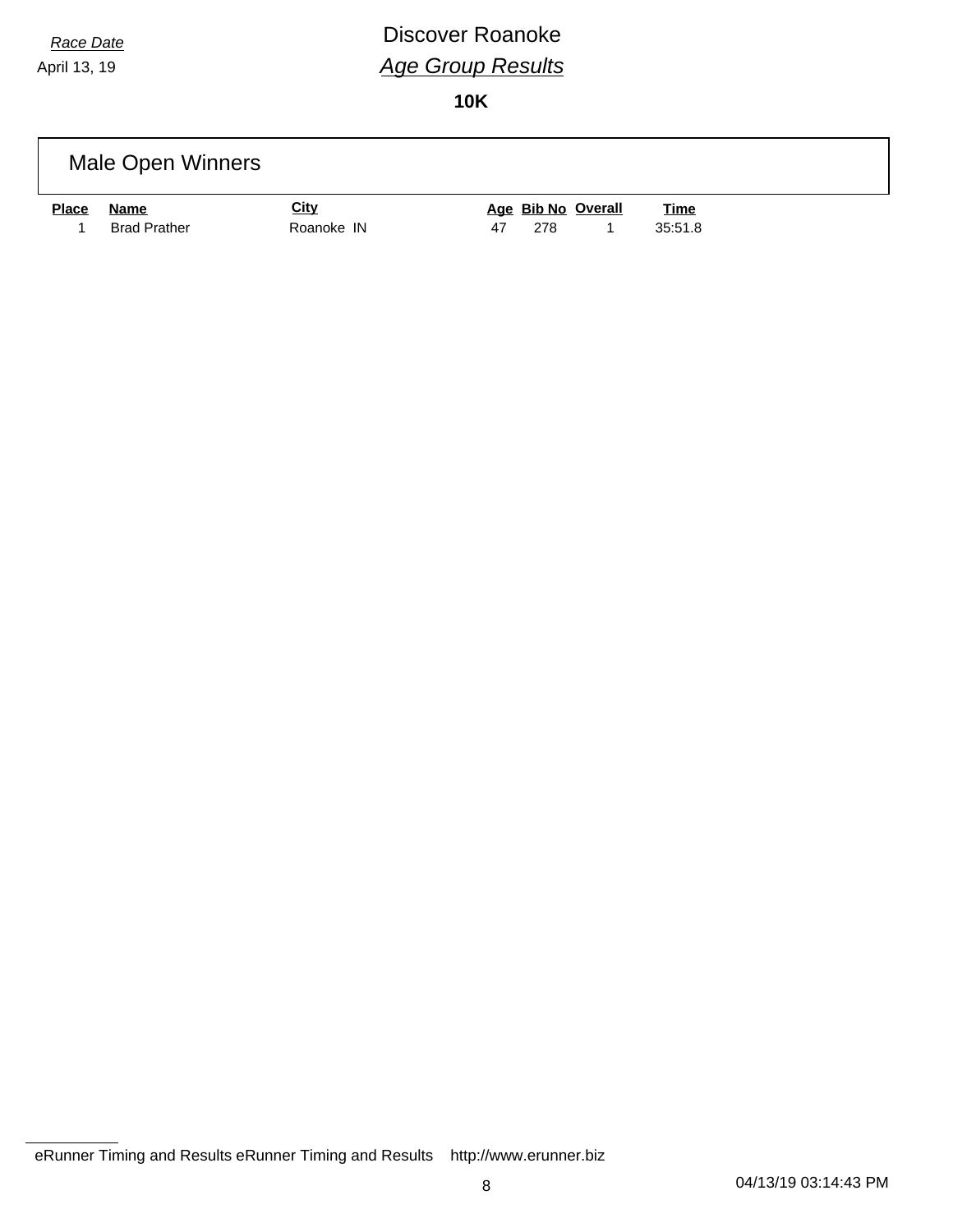# *Race Date* **Discover Roanoke** *Age Group Results*

|              | Male Open Winners   |             |                                   |
|--------------|---------------------|-------------|-----------------------------------|
| <b>Place</b> | Name                | <b>City</b> | Age Bib No Overall<br><b>Time</b> |
|              | <b>Brad Prather</b> | Roanoke IN  | 35:51.8<br>278<br>47              |

eRunner Timing and Results eRunner Timing and Results http://www.erunner.biz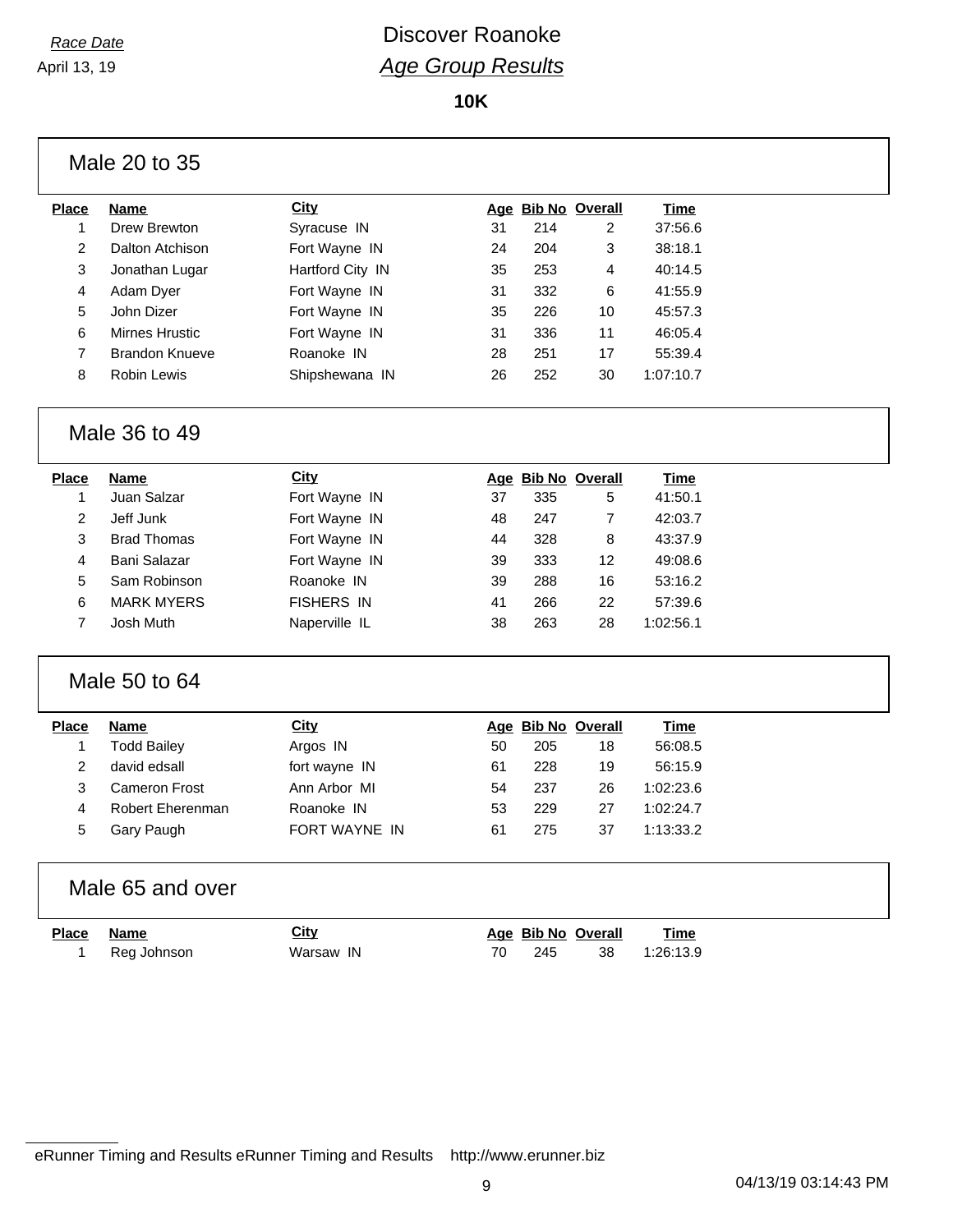**10K**

| Male 20 to 35 |  |  |  |  |
|---------------|--|--|--|--|
|---------------|--|--|--|--|

| Place | <b>Name</b>           | City             |    | Age Bib No Overall |    | Time      |
|-------|-----------------------|------------------|----|--------------------|----|-----------|
|       | Drew Brewton          | Syracuse IN      | 31 | 214                | 2  | 37:56.6   |
| 2     | Dalton Atchison       | Fort Wayne IN    | 24 | 204                | 3  | 38:18.1   |
| 3     | Jonathan Lugar        | Hartford City IN | 35 | 253                | 4  | 40:14.5   |
| 4     | Adam Dyer             | Fort Wayne IN    | 31 | 332                | 6  | 41:55.9   |
| 5     | John Dizer            | Fort Wayne IN    | 35 | 226                | 10 | 45:57.3   |
| 6     | Mirnes Hrustic        | Fort Wayne IN    | 31 | 336                | 11 | 46:05.4   |
| 7     | <b>Brandon Knueve</b> | Roanoke IN       | 28 | 251                | 17 | 55:39.4   |
| 8     | Robin Lewis           | Shipshewana IN   | 26 | 252                | 30 | 1:07:10.7 |
|       |                       |                  |    |                    |    |           |

#### Male 36 to 49

| Place | <b>Name</b>        | City              |    | Age Bib No Overall |    | Time      |
|-------|--------------------|-------------------|----|--------------------|----|-----------|
|       | Juan Salzar        | Fort Wayne IN     | 37 | 335                | 5  | 41:50.1   |
| 2     | Jeff Junk          | Fort Wayne IN     | 48 | 247                | 7  | 42:03.7   |
| 3     | <b>Brad Thomas</b> | Fort Wayne IN     | 44 | 328                | 8  | 43:37.9   |
| 4     | Bani Salazar       | Fort Wayne IN     | 39 | 333                | 12 | 49:08.6   |
| 5     | Sam Robinson       | Roanoke IN        | 39 | 288                | 16 | 53:16.2   |
| 6     | <b>MARK MYERS</b>  | <b>FISHERS IN</b> | 41 | 266                | 22 | 57:39.6   |
|       | Josh Muth          | Naperville IL     | 38 | 263                | 28 | 1:02:56.1 |
|       |                    |                   |    |                    |    |           |

#### Male 50 to 64

| Place | Name                 | <b>City</b>          |    | Age Bib No Overall |    | Time      |  |
|-------|----------------------|----------------------|----|--------------------|----|-----------|--|
|       | Todd Bailey          | Argos IN             | 50 | 205                | 18 | 56:08.5   |  |
|       | david edsall         | fort wayne IN        | 61 | 228                | 19 | 56:15.9   |  |
|       | <b>Cameron Frost</b> | Ann Arbor MI         | 54 | 237                | 26 | 1:02:23.6 |  |
| 4     | Robert Eherenman     | Roanoke IN           | 53 | 229                | 27 | 1:02:24.7 |  |
| 5     | Gary Paugh           | <b>FORT WAYNE IN</b> | 61 | 275                | 37 | 1:13:33.2 |  |
|       |                      |                      |    |                    |    |           |  |

#### Male 65 and over

| <u>Place Name</u> | <u>City</u> |     | Age Bib No Overall | <u>Time</u> |
|-------------------|-------------|-----|--------------------|-------------|
| Reg Johnson       | Warsaw IN   | 245 | 38                 | 1:26:13.9   |

eRunner Timing and Results eRunner Timing and Results http://www.erunner.biz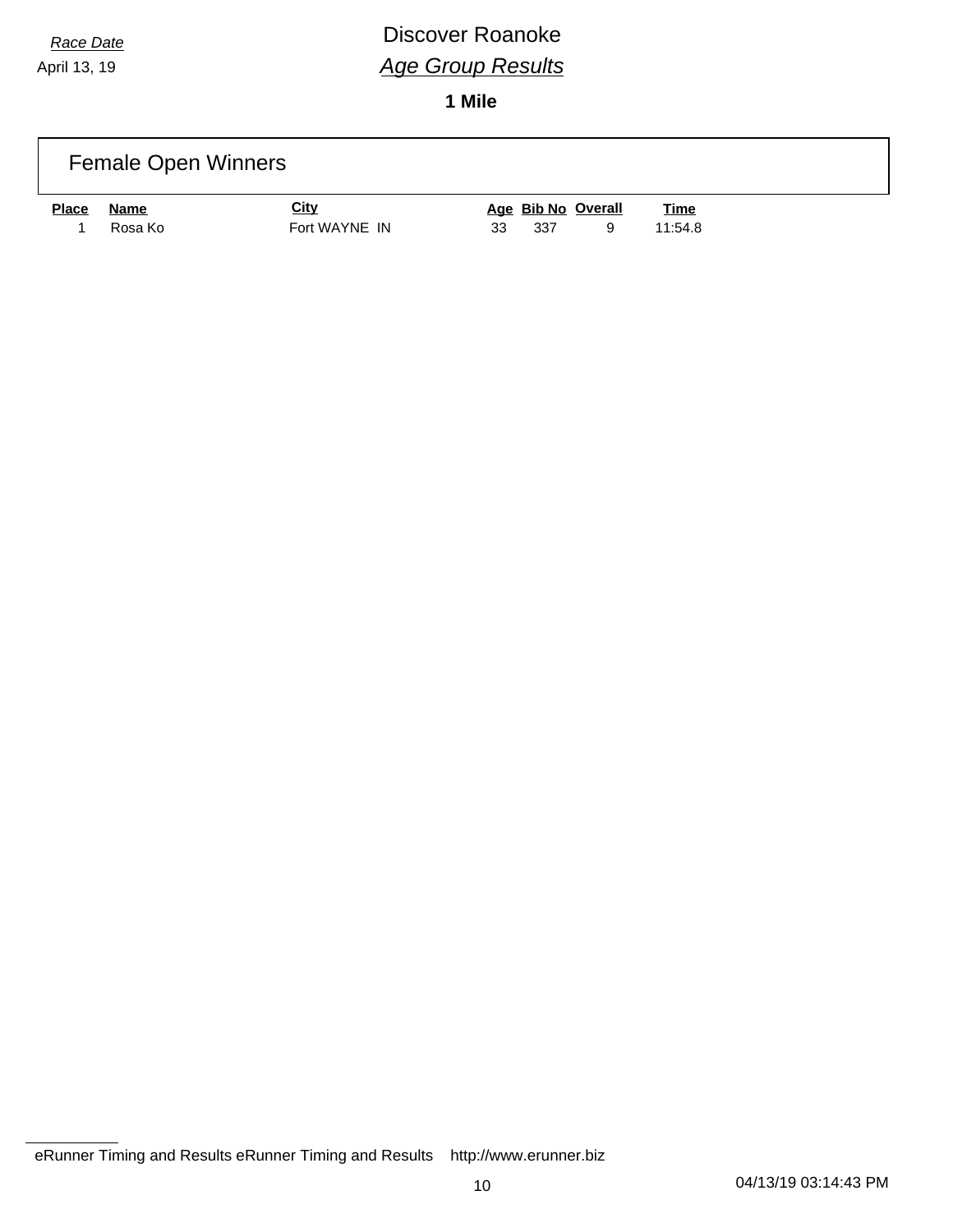# *Race Date* **Discover Roanoke** *Age Group Results*

|              | <b>Female Open Winners</b> |               |                    |             |  |
|--------------|----------------------------|---------------|--------------------|-------------|--|
| <b>Place</b> | <b>Name</b>                | <u>City</u>   | Age Bib No Overall | <b>Time</b> |  |
|              | Rosa Ko                    | Fort WAYNE IN | 33<br>337<br>9     | 11:54.8     |  |

eRunner Timing and Results eRunner Timing and Results http://www.erunner.biz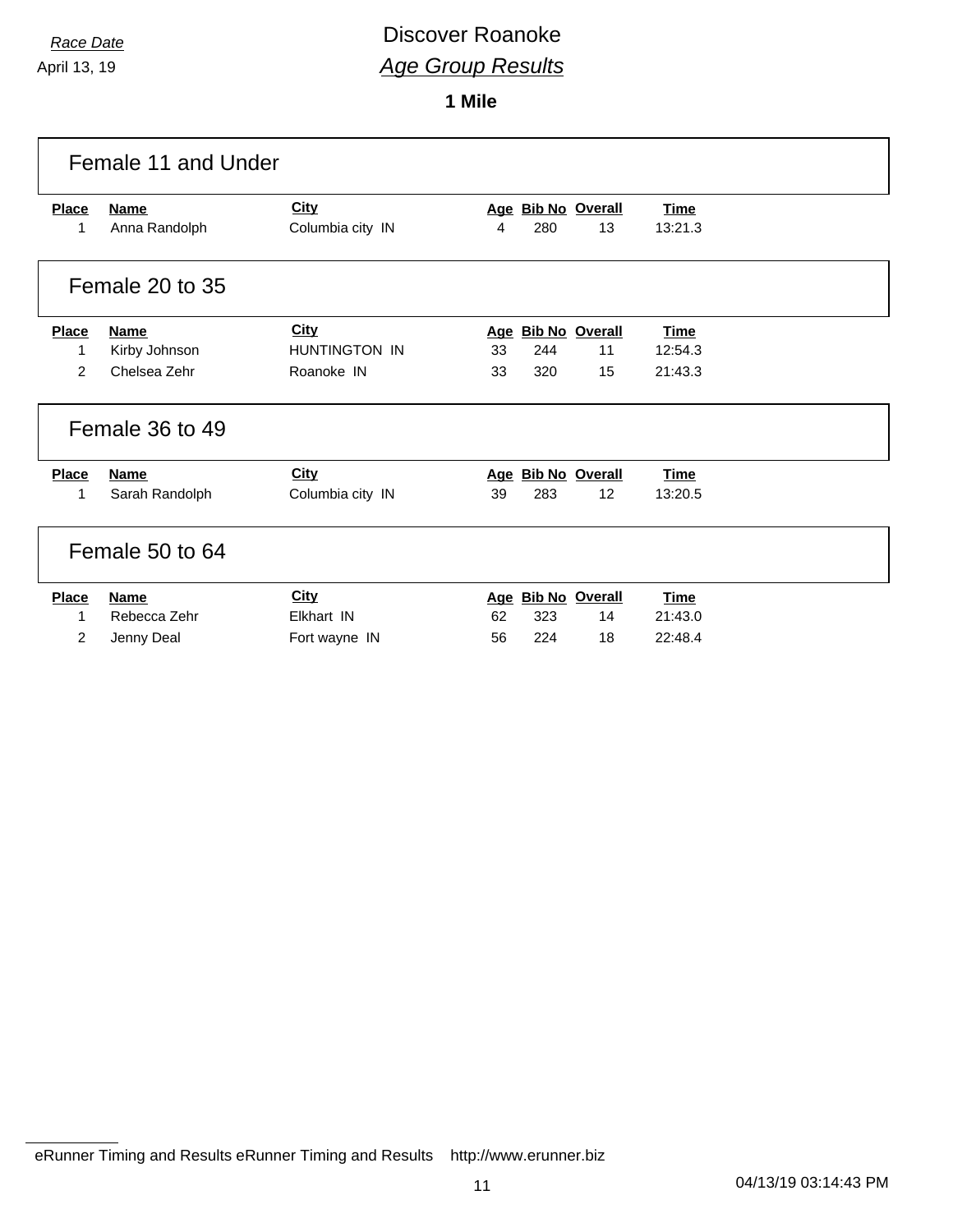## *Race Date* **Discover Roanoke** *Age Group Results*

|                | Female 11 and Under |                      |                    |             |
|----------------|---------------------|----------------------|--------------------|-------------|
| <b>Place</b>   | <b>Name</b>         | <b>City</b>          | Age Bib No Overall | <b>Time</b> |
| $\mathbf{1}$   | Anna Randolph       | Columbia city IN     | 280<br>13<br>4     | 13:21.3     |
|                | Female 20 to 35     |                      |                    |             |
| <b>Place</b>   | <b>Name</b>         | <b>City</b>          | Age Bib No Overall | <b>Time</b> |
| 1              | Kirby Johnson       | <b>HUNTINGTON IN</b> | 33<br>244<br>11    | 12:54.3     |
| $\overline{2}$ | Chelsea Zehr        | Roanoke IN           | 320<br>33<br>15    | 21:43.3     |
|                | Female 36 to 49     |                      |                    |             |
| <b>Place</b>   | <b>Name</b>         | <b>City</b>          | Age Bib No Overall | <b>Time</b> |
| 1              | Sarah Randolph      | Columbia city IN     | 283<br>12<br>39    | 13:20.5     |
|                | Female 50 to 64     |                      |                    |             |
| <b>Place</b>   | <b>Name</b>         | <b>City</b>          | Age Bib No Overall | <b>Time</b> |
| 1              | Rebecca Zehr        | Elkhart IN           | 62<br>323<br>14    | 21:43.0     |
| $\overline{2}$ | Jenny Deal          | Fort wayne IN        | 224<br>18<br>56    | 22:48.4     |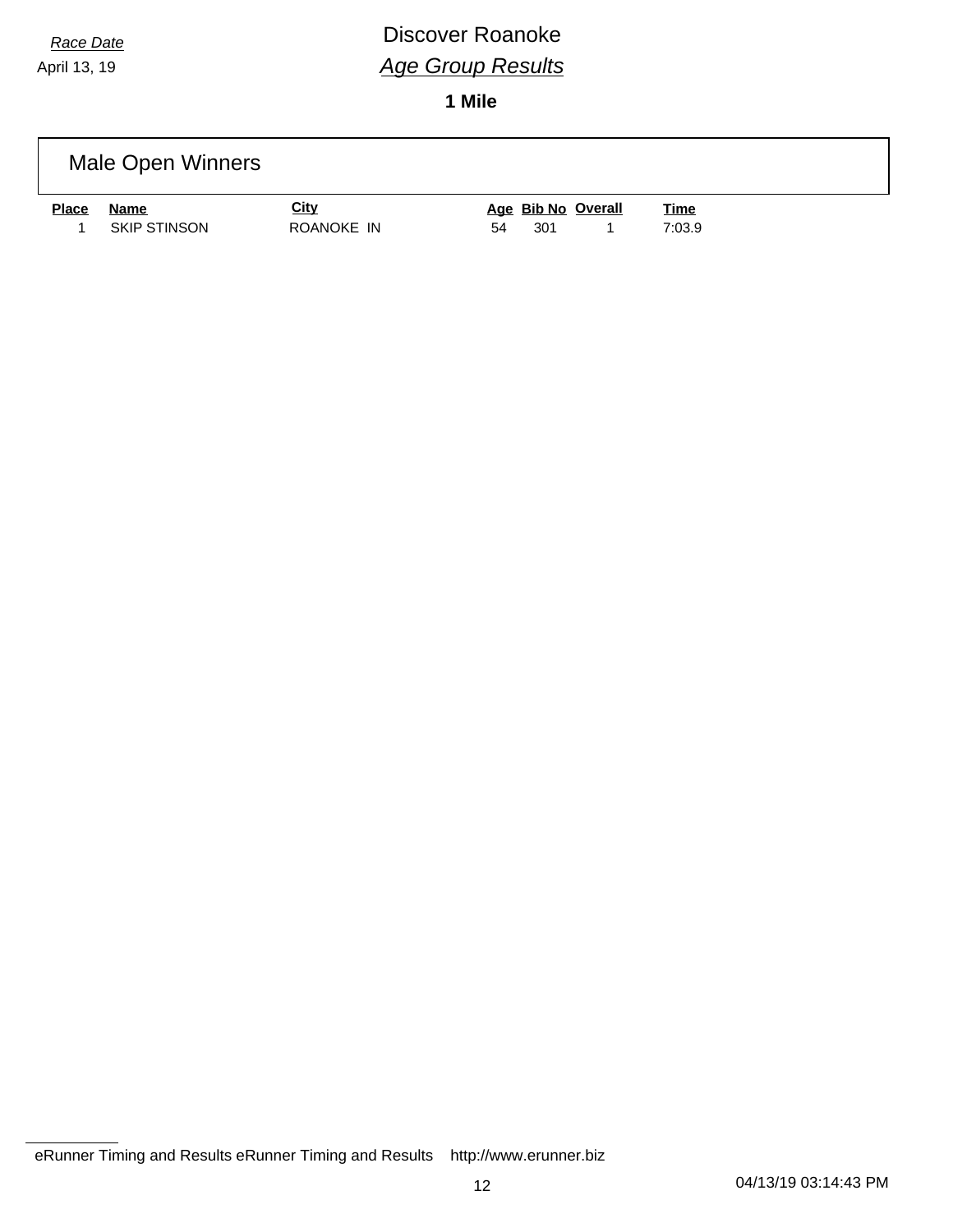## *Race Date* **Discover Roanoke** *Age Group Results*

|       | Male Open Winners   |             |                    |             |  |
|-------|---------------------|-------------|--------------------|-------------|--|
| Place | <b>Name</b>         | <u>City</u> | Age Bib No Overall | <u>Time</u> |  |
|       | <b>SKIP STINSON</b> | ROANOKE IN  | 301<br>54          | 7:03.9      |  |

eRunner Timing and Results eRunner Timing and Results http://www.erunner.biz